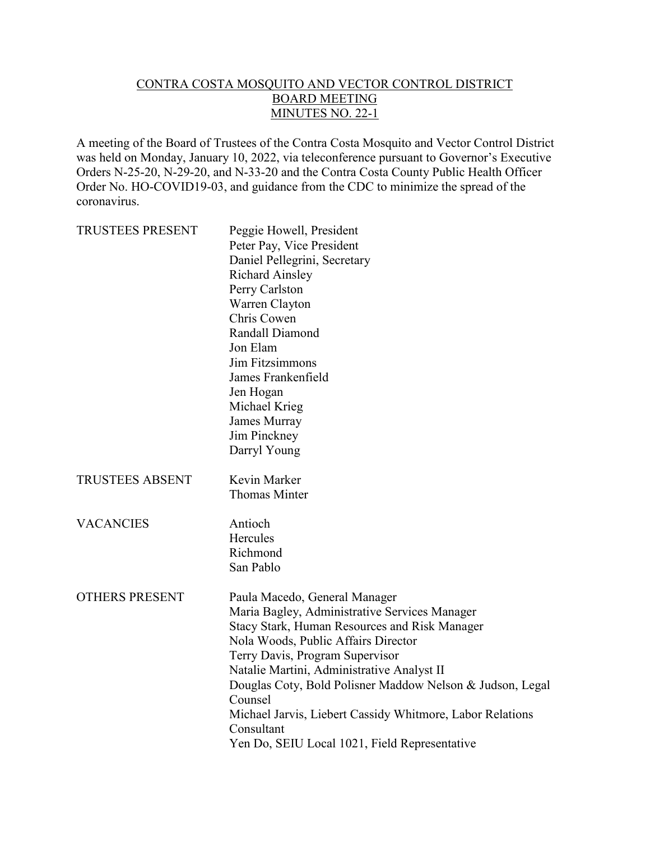### CONTRA COSTA MOSQUITO AND VECTOR CONTROL DISTRICT BOARD MEETING MINUTES NO. 22-1

A meeting of the Board of Trustees of the Contra Costa Mosquito and Vector Control District was held on Monday, January 10, 2022, via teleconference pursuant to Governor's Executive Orders N-25-20, N-29-20, and N-33-20 and the Contra Costa County Public Health Officer Order No. HO-COVID19-03, and guidance from the CDC to minimize the spread of the coronavirus.

| <b>TRUSTEES PRESENT</b> | Peggie Howell, President<br>Peter Pay, Vice President<br>Daniel Pellegrini, Secretary<br><b>Richard Ainsley</b><br>Perry Carlston<br>Warren Clayton<br>Chris Cowen<br>Randall Diamond<br>Jon Elam<br><b>Jim Fitzsimmons</b><br>James Frankenfield<br>Jen Hogan<br>Michael Krieg<br>James Murray<br>Jim Pinckney<br>Darryl Young                                                                                                                             |
|-------------------------|-------------------------------------------------------------------------------------------------------------------------------------------------------------------------------------------------------------------------------------------------------------------------------------------------------------------------------------------------------------------------------------------------------------------------------------------------------------|
| <b>TRUSTEES ABSENT</b>  | Kevin Marker<br><b>Thomas Minter</b>                                                                                                                                                                                                                                                                                                                                                                                                                        |
| <b>VACANCIES</b>        | Antioch<br>Hercules<br>Richmond<br>San Pablo                                                                                                                                                                                                                                                                                                                                                                                                                |
| <b>OTHERS PRESENT</b>   | Paula Macedo, General Manager<br>Maria Bagley, Administrative Services Manager<br>Stacy Stark, Human Resources and Risk Manager<br>Nola Woods, Public Affairs Director<br>Terry Davis, Program Supervisor<br>Natalie Martini, Administrative Analyst II<br>Douglas Coty, Bold Polisner Maddow Nelson & Judson, Legal<br>Counsel<br>Michael Jarvis, Liebert Cassidy Whitmore, Labor Relations<br>Consultant<br>Yen Do, SEIU Local 1021, Field Representative |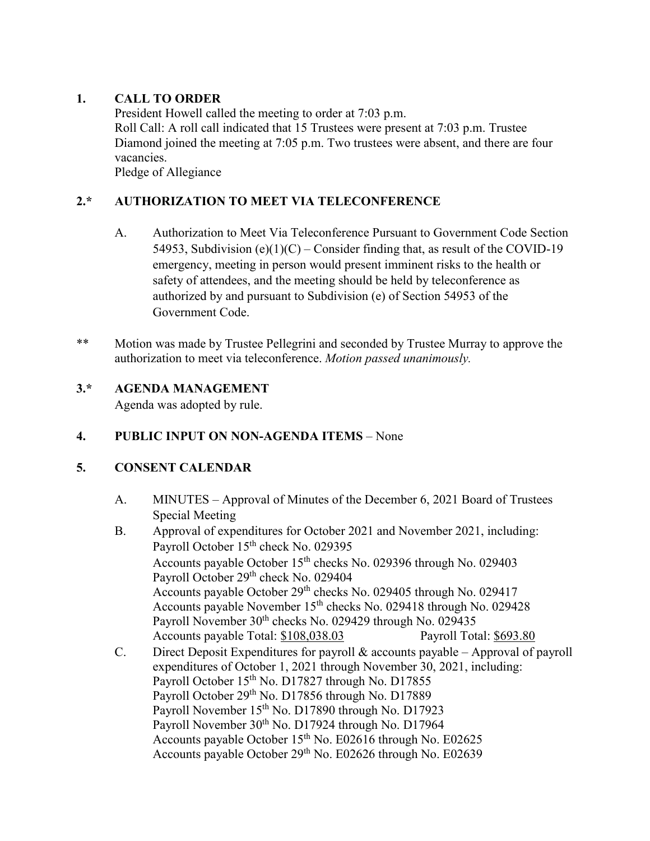## **1. CALL TO ORDER**

President Howell called the meeting to order at 7:03 p.m. Roll Call: A roll call indicated that 15 Trustees were present at 7:03 p.m. Trustee Diamond joined the meeting at 7:05 p.m. Two trustees were absent, and there are four vacancies. Pledge of Allegiance

# **2.\* AUTHORIZATION TO MEET VIA TELECONFERENCE**

- A. Authorization to Meet Via Teleconference Pursuant to Government Code Section 54953, Subdivision  $(e)(1)(C)$  – Consider finding that, as result of the COVID-19 emergency, meeting in person would present imminent risks to the health or safety of attendees, and the meeting should be held by teleconference as authorized by and pursuant to Subdivision (e) of Section 54953 of the Government Code.
- \*\* Motion was made by Trustee Pellegrini and seconded by Trustee Murray to approve the authorization to meet via teleconference. *Motion passed unanimously.*

## **3.\* AGENDA MANAGEMENT**

Agenda was adopted by rule.

# **4. PUBLIC INPUT ON NON-AGENDA ITEMS** – None

# **5. CONSENT CALENDAR**

- A. MINUTES Approval of Minutes of the December 6, 2021 Board of Trustees Special Meeting
- B. Approval of expenditures for October 2021 and November 2021, including: Payroll October 15<sup>th</sup> check No. 029395 Accounts payable October 15<sup>th</sup> checks No. 029396 through No. 029403 Payroll October 29<sup>th</sup> check No. 029404 Accounts payable October 29th checks No. 029405 through No. 029417 Accounts payable November 15<sup>th</sup> checks No. 029418 through No. 029428 Payroll November 30<sup>th</sup> checks No. 029429 through No. 029435 Accounts payable Total:  $$108,038.03$  Payroll Total:  $$693.80$ C. Direct Deposit Expenditures for payroll & accounts payable – Approval of payroll expenditures of October 1, 2021 through November 30, 2021, including: Payroll October 15<sup>th</sup> No. D17827 through No. D17855 Payroll October 29<sup>th</sup> No. D17856 through No. D17889 Payroll November 15<sup>th</sup> No. D17890 through No. D17923 Payroll November 30<sup>th</sup> No. D17924 through No. D17964 Accounts payable October 15<sup>th</sup> No. E02616 through No. E02625 Accounts payable October 29th No. E02626 through No. E02639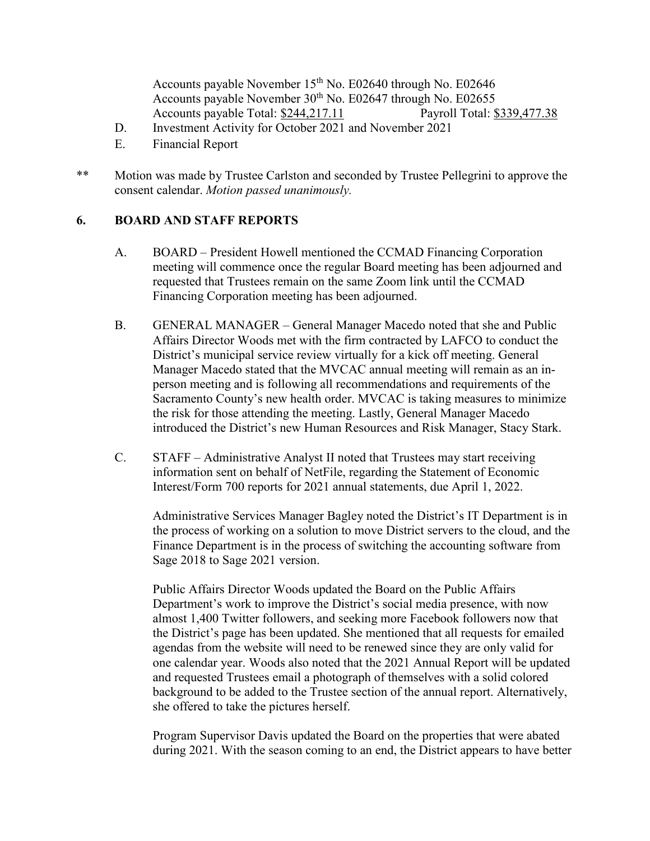Accounts payable November 15<sup>th</sup> No. E02640 through No. E02646 Accounts payable November  $30<sup>th</sup>$  No. E02647 through No. E02655 Accounts payable Total: \$244,217.11 Payroll Total: \$339,477.38

- D. Investment Activity for October 2021 and November 2021
- E. Financial Report
- \*\* Motion was made by Trustee Carlston and seconded by Trustee Pellegrini to approve the consent calendar. *Motion passed unanimously.*

#### **6. BOARD AND STAFF REPORTS**

- A. BOARD President Howell mentioned the CCMAD Financing Corporation meeting will commence once the regular Board meeting has been adjourned and requested that Trustees remain on the same Zoom link until the CCMAD Financing Corporation meeting has been adjourned.
- B. GENERAL MANAGER General Manager Macedo noted that she and Public Affairs Director Woods met with the firm contracted by LAFCO to conduct the District's municipal service review virtually for a kick off meeting. General Manager Macedo stated that the MVCAC annual meeting will remain as an inperson meeting and is following all recommendations and requirements of the Sacramento County's new health order. MVCAC is taking measures to minimize the risk for those attending the meeting. Lastly, General Manager Macedo introduced the District's new Human Resources and Risk Manager, Stacy Stark.
- C. STAFF Administrative Analyst II noted that Trustees may start receiving information sent on behalf of NetFile, regarding the Statement of Economic Interest/Form 700 reports for 2021 annual statements, due April 1, 2022.

Administrative Services Manager Bagley noted the District's IT Department is in the process of working on a solution to move District servers to the cloud, and the Finance Department is in the process of switching the accounting software from Sage 2018 to Sage 2021 version.

Public Affairs Director Woods updated the Board on the Public Affairs Department's work to improve the District's social media presence, with now almost 1,400 Twitter followers, and seeking more Facebook followers now that the District's page has been updated. She mentioned that all requests for emailed agendas from the website will need to be renewed since they are only valid for one calendar year. Woods also noted that the 2021 Annual Report will be updated and requested Trustees email a photograph of themselves with a solid colored background to be added to the Trustee section of the annual report. Alternatively, she offered to take the pictures herself.

Program Supervisor Davis updated the Board on the properties that were abated during 2021. With the season coming to an end, the District appears to have better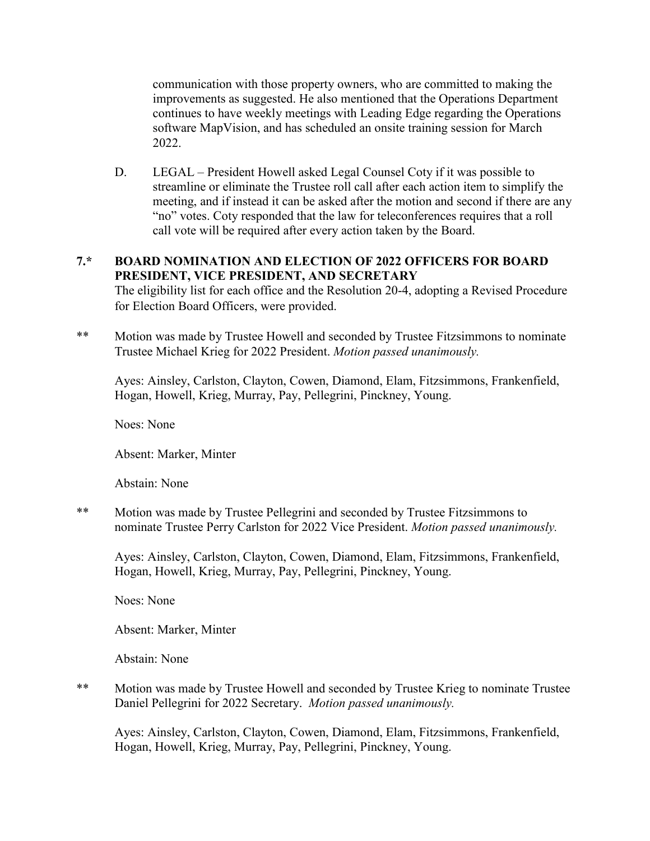communication with those property owners, who are committed to making the improvements as suggested. He also mentioned that the Operations Department continues to have weekly meetings with Leading Edge regarding the Operations software MapVision, and has scheduled an onsite training session for March 2022.

D. LEGAL – President Howell asked Legal Counsel Coty if it was possible to streamline or eliminate the Trustee roll call after each action item to simplify the meeting, and if instead it can be asked after the motion and second if there are any "no" votes. Coty responded that the law for teleconferences requires that a roll call vote will be required after every action taken by the Board.

## **7.\* BOARD NOMINATION AND ELECTION OF 2022 OFFICERS FOR BOARD PRESIDENT, VICE PRESIDENT, AND SECRETARY**

The eligibility list for each office and the Resolution 20-4, adopting a Revised Procedure for Election Board Officers, were provided.

\*\* Motion was made by Trustee Howell and seconded by Trustee Fitzsimmons to nominate Trustee Michael Krieg for 2022 President. *Motion passed unanimously.*

Ayes: Ainsley, Carlston, Clayton, Cowen, Diamond, Elam, Fitzsimmons, Frankenfield, Hogan, Howell, Krieg, Murray, Pay, Pellegrini, Pinckney, Young.

Noes: None

Absent: Marker, Minter

Abstain: None

\*\* Motion was made by Trustee Pellegrini and seconded by Trustee Fitzsimmons to nominate Trustee Perry Carlston for 2022 Vice President. *Motion passed unanimously.* 

Ayes: Ainsley, Carlston, Clayton, Cowen, Diamond, Elam, Fitzsimmons, Frankenfield, Hogan, Howell, Krieg, Murray, Pay, Pellegrini, Pinckney, Young.

Noes: None

Absent: Marker, Minter

Abstain: None

\*\* Motion was made by Trustee Howell and seconded by Trustee Krieg to nominate Trustee Daniel Pellegrini for 2022 Secretary. *Motion passed unanimously.* 

Ayes: Ainsley, Carlston, Clayton, Cowen, Diamond, Elam, Fitzsimmons, Frankenfield, Hogan, Howell, Krieg, Murray, Pay, Pellegrini, Pinckney, Young.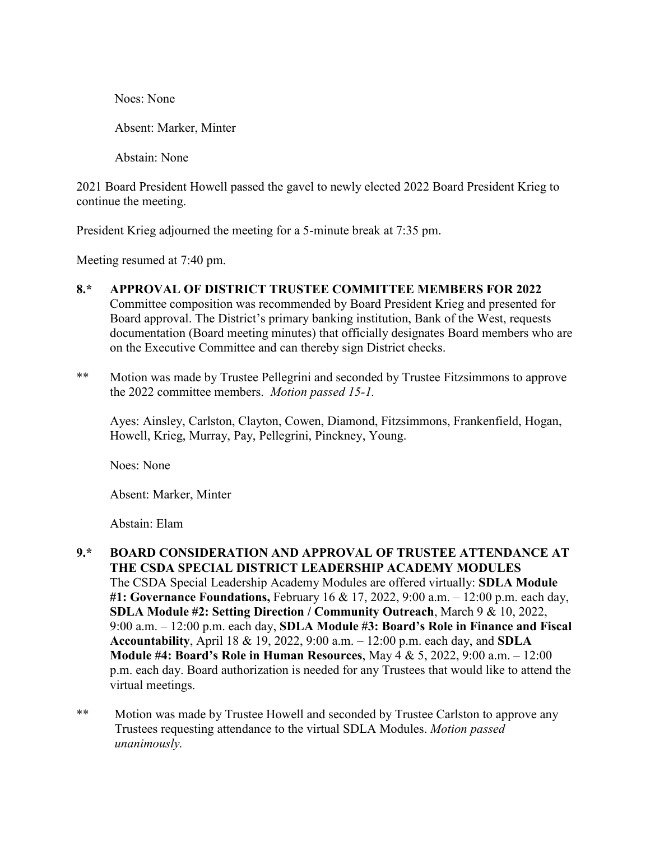Noes: None Absent: Marker, Minter Abstain: None

2021 Board President Howell passed the gavel to newly elected 2022 Board President Krieg to continue the meeting.

President Krieg adjourned the meeting for a 5-minute break at 7:35 pm.

Meeting resumed at 7:40 pm.

- **8.\* APPROVAL OF DISTRICT TRUSTEE COMMITTEE MEMBERS FOR 2022** Committee composition was recommended by Board President Krieg and presented for Board approval. The District's primary banking institution, Bank of the West, requests documentation (Board meeting minutes) that officially designates Board members who are on the Executive Committee and can thereby sign District checks.
- \*\* Motion was made by Trustee Pellegrini and seconded by Trustee Fitzsimmons to approve the 2022 committee members. *Motion passed 15-1.*

Ayes: Ainsley, Carlston, Clayton, Cowen, Diamond, Fitzsimmons, Frankenfield, Hogan, Howell, Krieg, Murray, Pay, Pellegrini, Pinckney, Young.

Noes: None

Absent: Marker, Minter

Abstain: Elam

- **9.\* BOARD CONSIDERATION AND APPROVAL OF TRUSTEE ATTENDANCE AT THE CSDA SPECIAL DISTRICT LEADERSHIP ACADEMY MODULES**  The CSDA Special Leadership Academy Modules are offered virtually: **SDLA Module #1: Governance Foundations,** February 16 & 17, 2022, 9:00 a.m. – 12:00 p.m. each day, **SDLA Module #2: Setting Direction / Community Outreach**, March 9 & 10, 2022, 9:00 a.m. – 12:00 p.m. each day, **SDLA Module #3: Board's Role in Finance and Fiscal Accountability**, April 18 & 19, 2022, 9:00 a.m. – 12:00 p.m. each day, and **SDLA Module #4: Board's Role in Human Resources**, May 4 & 5, 2022, 9:00 a.m. – 12:00 p.m. each day. Board authorization is needed for any Trustees that would like to attend the virtual meetings.
- \*\* Motion was made by Trustee Howell and seconded by Trustee Carlston to approve any Trustees requesting attendance to the virtual SDLA Modules. *Motion passed unanimously.*